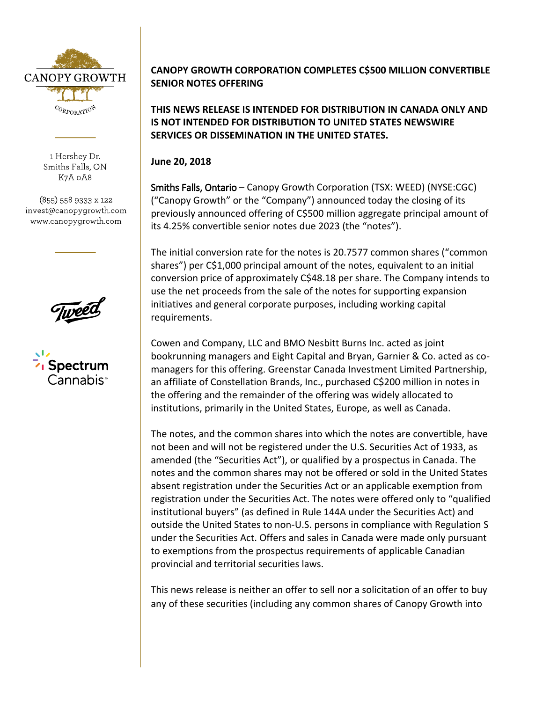

1 Hershey Dr. Smiths Falls, ON K7A 0A8

(855) 558 9333 x 122 invest@canopygrowth.com www.canopygrowth.com

Spectrum Cannabisi

## **CANOPY GROWTH CORPORATION COMPLETES C\$500 MILLION CONVERTIBLE SENIOR NOTES OFFERING**

**THIS NEWS RELEASE IS INTENDED FOR DISTRIBUTION IN CANADA ONLY AND IS NOT INTENDED FOR DISTRIBUTION TO UNITED STATES NEWSWIRE SERVICES OR DISSEMINATION IN THE UNITED STATES.**

**June 20, 2018**

Smiths Falls, Ontario – Canopy Growth Corporation (TSX: WEED) (NYSE:CGC) ("Canopy Growth" or the "Company") announced today the closing of its previously announced offering of C\$500 million aggregate principal amount of its 4.25% convertible senior notes due 2023 (the "notes").

The initial conversion rate for the notes is 20.7577 common shares ("common shares") per C\$1,000 principal amount of the notes, equivalent to an initial conversion price of approximately C\$48.18 per share. The Company intends to use the net proceeds from the sale of the notes for supporting expansion initiatives and general corporate purposes, including working capital requirements.

Cowen and Company, LLC and BMO Nesbitt Burns Inc. acted as joint bookrunning managers and Eight Capital and Bryan, Garnier & Co. acted as comanagers for this offering. Greenstar Canada Investment Limited Partnership, an affiliate of Constellation Brands, Inc., purchased C\$200 million in notes in the offering and the remainder of the offering was widely allocated to institutions, primarily in the United States, Europe, as well as Canada.

The notes, and the common shares into which the notes are convertible, have not been and will not be registered under the U.S. Securities Act of 1933, as amended (the "Securities Act"), or qualified by a prospectus in Canada. The notes and the common shares may not be offered or sold in the United States absent registration under the Securities Act or an applicable exemption from registration under the Securities Act. The notes were offered only to "qualified institutional buyers" (as defined in Rule 144A under the Securities Act) and outside the United States to non-U.S. persons in compliance with Regulation S under the Securities Act. Offers and sales in Canada were made only pursuant to exemptions from the prospectus requirements of applicable Canadian provincial and territorial securities laws.

This news release is neither an offer to sell nor a solicitation of an offer to buy any of these securities (including any common shares of Canopy Growth into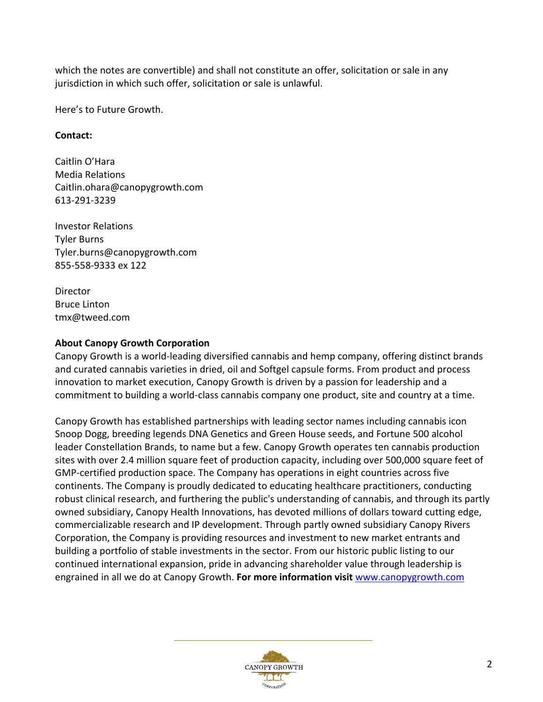which the notes are convertible) and shall not constitute an offer, solicitation or sale in any jurisdiction in which such offer, solicitation or sale is unlawful.

Here's to Future Growth.

## **Contact:**

Caitlin O'Hara Media Relations Caitlin.ohara@canopygrowth.com 613-291-3239

Investor Relations Tyler Burns Tyler.burns@canopygrowth.com 855-558-9333 ex 122

Director Bruce Linton tmx@tweed.com

## **About Canopy Growth Corporation**

Canopy Growth is a world-leading diversified cannabis and hemp company, offering distinct brands and curated cannabis varieties in dried, oil and Softgel capsule forms. From product and process innovation to market execution, Canopy Growth is driven by a passion for leadership and a commitment to building a world-class cannabis company one product, site and country at a time.

Canopy Growth has established partnerships with leading sector names including cannabis icon Snoop Dogg, breeding legends DNA Genetics and Green House seeds, and Fortune 500 alcohol leader Constellation Brands, to name but a few. Canopy Growth operates ten cannabis production sites with over 2.4 million square feet of production capacity, including over 500,000 square feet of GMP-certified production space. The Company has operations in eight countries across five continents. The Company is proudly dedicated to educating healthcare practitioners, conducting robust clinical research, and furthering the public's understanding of cannabis, and through its partly owned subsidiary, Canopy Health Innovations, has devoted millions of dollars toward cutting edge, commercializable research and IP development. Through partly owned subsidiary Canopy Rivers Corporation, the Company is providing resources and investment to new market entrants and building a portfolio of stable investments in the sector. From our historic public listing to our continued international expansion, pride in advancing shareholder value through leadership is engrained in all we do at Canopy Growth. **For more information visit** www.canopygrowth.com